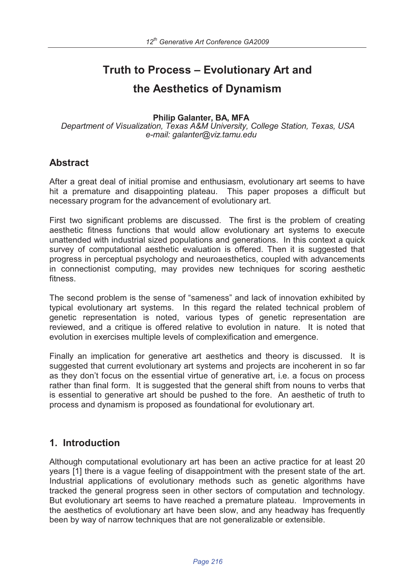# **Truth to Process – Evolutionary Art and the Aesthetics of Dynamism**

**Philip Galanter, BA, MFA**

*Department of Visualization, Texas A&M University, College Station, Texas, USA e-mail: galanter@viz.tamu.edu*

#### **Abstract**

After a great deal of initial promise and enthusiasm, evolutionary art seems to have hit a premature and disappointing plateau. This paper proposes a difficult but necessary program for the advancement of evolutionary art.

First two significant problems are discussed. The first is the problem of creating aesthetic fitness functions that would allow evolutionary art systems to execute unattended with industrial sized populations and generations. In this context a quick survey of computational aesthetic evaluation is offered. Then it is suggested that progress in perceptual psychology and neuroaesthetics, coupled with advancements in connectionist computing, may provides new techniques for scoring aesthetic fitness.

The second problem is the sense of "sameness" and lack of innovation exhibited by typical evolutionary art systems. In this regard the related technical problem of genetic representation is noted, various types of genetic representation are reviewed, and a critique is offered relative to evolution in nature. It is noted that evolution in exercises multiple levels of complexification and emergence.

Finally an implication for generative art aesthetics and theory is discussed. It is suggested that current evolutionary art systems and projects are incoherent in so far as they don't focus on the essential virtue of generative art, i.e. a focus on process rather than final form. It is suggested that the general shift from nouns to verbs that is essential to generative art should be pushed to the fore. An aesthetic of truth to process and dynamism is proposed as foundational for evolutionary art.

### **1. Introduction**

Although computational evolutionary art has been an active practice for at least 20 years [1] there is a vague feeling of disappointment with the present state of the art. Industrial applications of evolutionary methods such as genetic algorithms have tracked the general progress seen in other sectors of computation and technology. But evolutionary art seems to have reached a premature plateau. Improvements in the aesthetics of evolutionary art have been slow, and any headway has frequently been by way of narrow techniques that are not generalizable or extensible.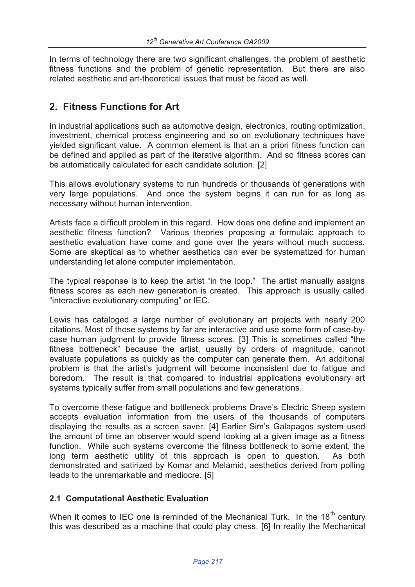In terms of technology there are two significant challenges, the problem of aesthetic fitness functions and the problem of genetic representation. But there are also related aesthetic and art-theoretical issues that must be faced as well.

# **2. Fitness Functions for Art**

In industrial applications such as automotive design, electronics, routing optimization, investment, chemical process engineering and so on evolutionary techniques have yielded significant value. A common element is that an a priori fitness function can be defined and applied as part of the iterative algorithm. And so fitness scores can be automatically calculated for each candidate solution. [2]

This allows evolutionary systems to run hundreds or thousands of generations with very large populations. And once the system begins it can run for as long as necessary without human intervention.

Artists face a difficult problem in this regard. How does one define and implement an aesthetic fitness function? Various theories proposing a formulaic approach to aesthetic evaluation have come and gone over the years without much success. Some are skeptical as to whether aesthetics can ever be systematized for human understanding let alone computer implementation.

The typical response is to keep the artist "in the loop." The artist manually assigns fitness scores as each new generation is created. This approach is usually called "interactive evolutionary computing" or IEC.

Lewis has cataloged a large number of evolutionary art projects with nearly 200 citations. Most of those systems by far are interactive and use some form of case-bycase human judgment to provide fitness scores. [3] This is sometimes called "the fitness bottleneck" because the artist, usually by orders of magnitude, cannot evaluate populations as quickly as the computer can generate them. An additional problem is that the artist's judgment will become inconsistent due to fatigue and boredom. The result is that compared to industrial applications evolutionary art systems typically suffer from small populations and few generations.

To overcome these fatigue and bottleneck problems Drave's Electric Sheep system accepts evaluation information from the users of the thousands of computers displaying the results as a screen saver. [4] Earlier Sim's Galapagos system used the amount of time an observer would spend looking at a given image as a fitness function. While such systems overcome the fitness bottleneck to some extent, the long term aesthetic utility of this approach is open to question. As both demonstrated and satirized by Komar and Melamid, aesthetics derived from polling leads to the unremarkable and mediocre. [5]

#### **2.1 Computational Aesthetic Evaluation**

When it comes to IEC one is reminded of the Mechanical Turk. In the  $18<sup>th</sup>$  centurv this was described as a machine that could play chess. [6] In reality the Mechanical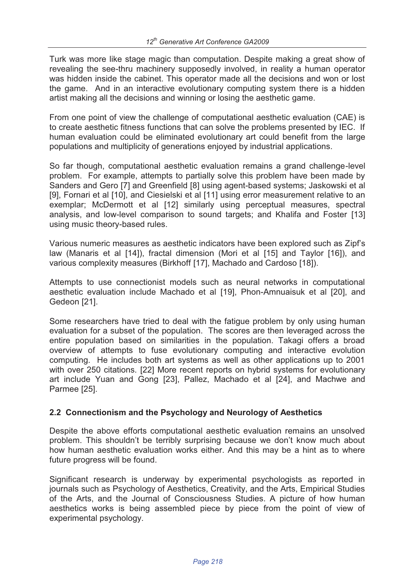Turk was more like stage magic than computation. Despite making a great show of revealing the see-thru machinery supposedly involved, in reality a human operator was hidden inside the cabinet. This operator made all the decisions and won or lost the game. And in an interactive evolutionary computing system there is a hidden artist making all the decisions and winning or losing the aesthetic game.

From one point of view the challenge of computational aesthetic evaluation (CAE) is to create aesthetic fitness functions that can solve the problems presented by IEC. If human evaluation could be eliminated evolutionary art could benefit from the large populations and multiplicity of generations enjoyed by industrial applications.

So far though, computational aesthetic evaluation remains a grand challenge-level problem. For example, attempts to partially solve this problem have been made by Sanders and Gero [7] and Greenfield [8] using agent-based systems; Jaskowski et al [9], Fornari et al [10], and Ciesielski et al [11] using error measurement relative to an exemplar; McDermott et al [12] similarly using perceptual measures, spectral analysis, and low-level comparison to sound targets; and Khalifa and Foster [13] using music theory-based rules.

Various numeric measures as aesthetic indicators have been explored such as Zipf's law (Manaris et al [14]), fractal dimension (Mori et al [15] and Taylor [16]), and various complexity measures (Birkhoff [17], Machado and Cardoso [18]).

Attempts to use connectionist models such as neural networks in computational aesthetic evaluation include Machado et al [19], Phon-Amnuaisuk et al [20], and Gedeon [21].

Some researchers have tried to deal with the fatigue problem by only using human evaluation for a subset of the population. The scores are then leveraged across the entire population based on similarities in the population. Takagi offers a broad overview of attempts to fuse evolutionary computing and interactive evolution computing. He includes both art systems as well as other applications up to 2001 with over 250 citations. [22] More recent reports on hybrid systems for evolutionary art include Yuan and Gong [23], Pallez, Machado et al [24], and Machwe and Parmee [25].

#### **2.2 Connectionism and the Psychology and Neurology of Aesthetics**

Despite the above efforts computational aesthetic evaluation remains an unsolved problem. This shouldn't be terribly surprising because we don't know much about how human aesthetic evaluation works either. And this may be a hint as to where future progress will be found.

Significant research is underway by experimental psychologists as reported in journals such as Psychology of Aesthetics, Creativity, and the Arts, Empirical Studies of the Arts, and the Journal of Consciousness Studies. A picture of how human aesthetics works is being assembled piece by piece from the point of view of experimental psychology.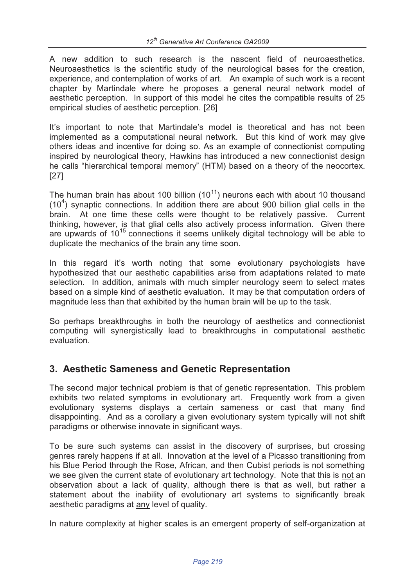A new addition to such research is the nascent field of neuroaesthetics. Neuroaesthetics is the scientific study of the neurological bases for the creation, experience, and contemplation of works of art. An example of such work is a recent chapter by Martindale where he proposes a general neural network model of aesthetic perception. In support of this model he cites the compatible results of 25 empirical studies of aesthetic perception. [26]

It's important to note that Martindale's model is theoretical and has not been implemented as a computational neural network. But this kind of work may give others ideas and incentive for doing so. As an example of connectionist computing inspired by neurological theory, Hawkins has introduced a new connectionist design he calls "hierarchical temporal memory" (HTM) based on a theory of the neocortex. [27]

The human brain has about 100 billion  $(10^{11})$  neurons each with about 10 thousand  $(10<sup>4</sup>)$  synaptic connections. In addition there are about 900 billion glial cells in the brain. At one time these cells were thought to be relatively passive. Current thinking, however, is that glial cells also actively process information. Given there are upwards of  $10^{15}$  connections it seems unlikely digital technology will be able to duplicate the mechanics of the brain any time soon.

In this regard it's worth noting that some evolutionary psychologists have hypothesized that our aesthetic capabilities arise from adaptations related to mate selection. In addition, animals with much simpler neurology seem to select mates based on a simple kind of aesthetic evaluation. It may be that computation orders of magnitude less than that exhibited by the human brain will be up to the task.

So perhaps breakthroughs in both the neurology of aesthetics and connectionist computing will synergistically lead to breakthroughs in computational aesthetic evaluation.

# **3. Aesthetic Sameness and Genetic Representation**

The second major technical problem is that of genetic representation. This problem exhibits two related symptoms in evolutionary art. Frequently work from a given evolutionary systems displays a certain sameness or cast that many find disappointing. And as a corollary a given evolutionary system typically will not shift paradigms or otherwise innovate in significant ways.

To be sure such systems can assist in the discovery of surprises, but crossing genres rarely happens if at all. Innovation at the level of a Picasso transitioning from his Blue Period through the Rose, African, and then Cubist periods is not something we see given the current state of evolutionary art technology. Note that this is not an observation about a lack of quality, although there is that as well, but rather a statement about the inability of evolutionary art systems to significantly break aesthetic paradigms at any level of quality.

In nature complexity at higher scales is an emergent property of self-organization at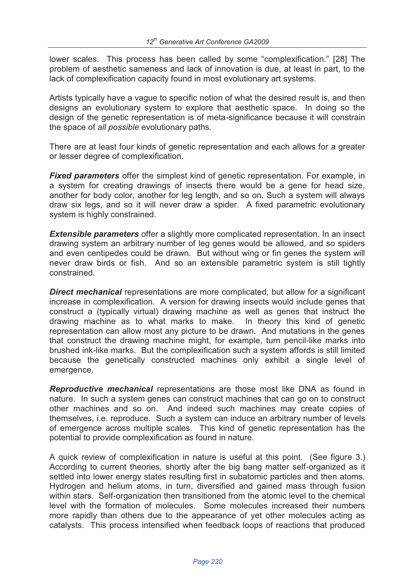lower scales. This process has been called by some "complexification." [28] The problem of aesthetic sameness and lack of innovation is due, at least in part, to the lack of complexification capacity found in most evolutionary art systems.

Artists typically have a vague to specific notion of what the desired result is, and then designs an evolutionary system to explore that aesthetic space. In doing so the design of the genetic representation is of meta-significance because it will constrain the space of *all possible* evolutionary paths.

There are at least four kinds of genetic representation and each allows for a greater or lesser degree of complexification.

*Fixed parameters* offer the simplest kind of genetic representation. For example, in a system for creating drawings of insects there would be a gene for head size, another for body color, another for leg length, and so on. Such a system will always draw six legs, and so it will never draw a spider. A fixed parametric evolutionary system is highly constrained.

**Extensible parameters** offer a slightly more complicated representation. In an insect drawing system an arbitrary number of leg genes would be allowed, and so spiders and even centipedes could be drawn. But without wing or fin genes the system will never draw birds or fish. And so an extensible parametric system is still tightly constrained.

**Direct mechanical** representations are more complicated, but allow for a significant increase in complexification. A version for drawing insects would include genes that construct a (typically virtual) drawing machine as well as genes that instruct the drawing machine as to what marks to make. In theory this kind of genetic representation can allow most any picture to be drawn. And mutations in the genes that construct the drawing machine might, for example, turn pencil-like marks into brushed ink-like marks. But the complexification such a system affords is still limited because the genetically constructed machines only exhibit a single level of emergence.

*Reproductive mechanical* representations are those most like DNA as found in nature. In such a system genes can construct machines that can go on to construct other machines and so on. And indeed such machines may create copies of themselves, i.e. reproduce. Such a system can induce an arbitrary number of levels of emergence across multiple scales. This kind of genetic representation has the potential to provide complexification as found in nature.

A quick review of complexification in nature is useful at this point. (See figure 3.) According to current theories, shortly after the big bang matter self-organized as it settled into lower energy states resulting first in subatomic particles and then atoms. Hydrogen and helium atoms, in turn, diversified and gained mass through fusion within stars. Self-organization then transitioned from the atomic level to the chemical level with the formation of molecules. Some molecules increased their numbers more rapidly than others due to the appearance of yet other molecules acting as catalysts. This process intensified when feedback loops of reactions that produced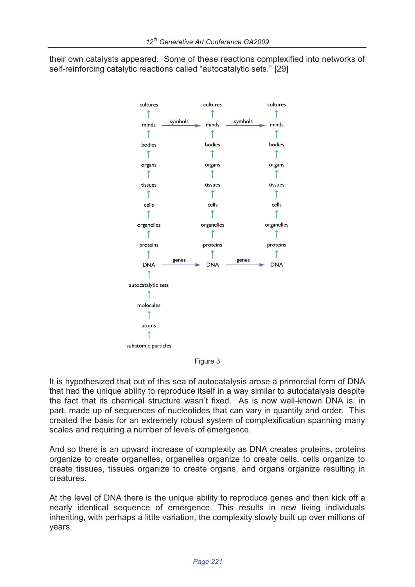their own catalysts appeared. Some of these reactions complexified into networks of self-reinforcing catalytic reactions called "autocatalytic sets." [29]



Figure 3

It is hypothesized that out of this sea of autocatalysis arose a primordial form of DNA that had the unique ability to reproduce itself in a way similar to autocatalysis despite the fact that its chemical structure wasn't fixed. As is now well-known DNA is, in part, made up of sequences of nucleotides that can vary in quantity and order. This created the basis for an extremely robust system of complexification spanning many scales and requiring a number of levels of emergence.

And so there is an upward increase of complexity as DNA creates proteins, proteins organize to create organelles, organelles organize to create cells, cells organize to create tissues, tissues organize to create organs, and organs organize resulting in creatures.

At the level of DNA there is the unique ability to reproduce genes and then kick off a nearly identical sequence of emergence. This results in new living individuals inheriting, with perhaps a little variation, the complexity slowly built up over millions of years.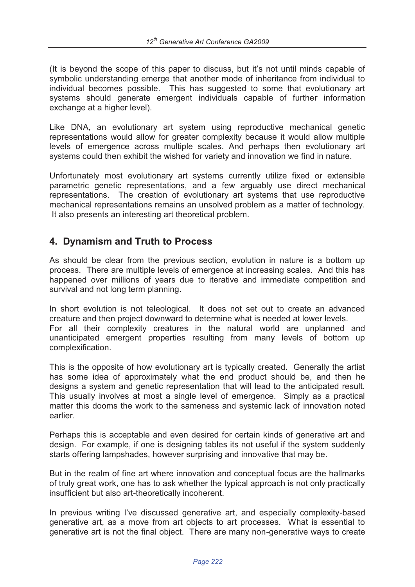(It is beyond the scope of this paper to discuss, but it's not until minds capable of symbolic understanding emerge that another mode of inheritance from individual to individual becomes possible. This has suggested to some that evolutionary art systems should generate emergent individuals capable of further information exchange at a higher level).

Like DNA, an evolutionary art system using reproductive mechanical genetic representations would allow for greater complexity because it would allow multiple levels of emergence across multiple scales. And perhaps then evolutionary art systems could then exhibit the wished for variety and innovation we find in nature.

Unfortunately most evolutionary art systems currently utilize fixed or extensible parametric genetic representations, and a few arguably use direct mechanical representations. The creation of evolutionary art systems that use reproductive mechanical representations remains an unsolved problem as a matter of technology. It also presents an interesting art theoretical problem.

## **4. Dynamism and Truth to Process**

As should be clear from the previous section, evolution in nature is a bottom up process. There are multiple levels of emergence at increasing scales. And this has happened over millions of years due to iterative and immediate competition and survival and not long term planning.

In short evolution is not teleological. It does not set out to create an advanced creature and then project downward to determine what is needed at lower levels. For all their complexity creatures in the natural world are unplanned and unanticipated emergent properties resulting from many levels of bottom up complexification.

This is the opposite of how evolutionary art is typically created. Generally the artist has some idea of approximately what the end product should be, and then he designs a system and genetic representation that will lead to the anticipated result. This usually involves at most a single level of emergence. Simply as a practical matter this dooms the work to the sameness and systemic lack of innovation noted earlier.

Perhaps this is acceptable and even desired for certain kinds of generative art and design. For example, if one is designing tables its not useful if the system suddenly starts offering lampshades, however surprising and innovative that may be.

But in the realm of fine art where innovation and conceptual focus are the hallmarks of truly great work, one has to ask whether the typical approach is not only practically insufficient but also art-theoretically incoherent.

In previous writing I've discussed generative art, and especially complexity-based generative art, as a move from art objects to art processes. What is essential to generative art is not the final object. There are many non-generative ways to create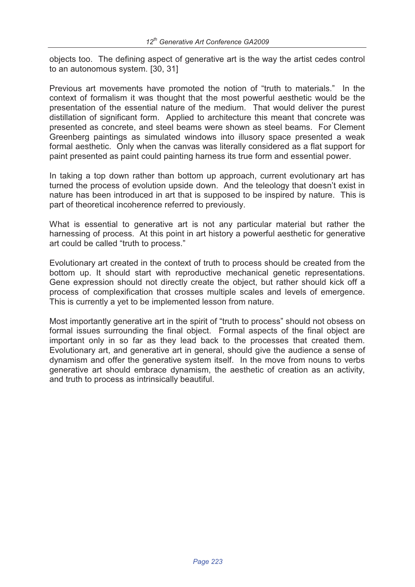objects too. The defining aspect of generative art is the way the artist cedes control to an autonomous system. [30, 31]

Previous art movements have promoted the notion of "truth to materials." In the context of formalism it was thought that the most powerful aesthetic would be the presentation of the essential nature of the medium. That would deliver the purest distillation of significant form. Applied to architecture this meant that concrete was presented as concrete, and steel beams were shown as steel beams. For Clement Greenberg paintings as simulated windows into illusory space presented a weak formal aesthetic. Only when the canvas was literally considered as a flat support for paint presented as paint could painting harness its true form and essential power.

In taking a top down rather than bottom up approach, current evolutionary art has turned the process of evolution upside down. And the teleology that doesn't exist in nature has been introduced in art that is supposed to be inspired by nature. This is part of theoretical incoherence referred to previously.

What is essential to generative art is not any particular material but rather the harnessing of process. At this point in art history a powerful aesthetic for generative art could be called "truth to process."

Evolutionary art created in the context of truth to process should be created from the bottom up. It should start with reproductive mechanical genetic representations. Gene expression should not directly create the object, but rather should kick off a process of complexification that crosses multiple scales and levels of emergence. This is currently a yet to be implemented lesson from nature.

Most importantly generative art in the spirit of "truth to process" should not obsess on formal issues surrounding the final object. Formal aspects of the final object are important only in so far as they lead back to the processes that created them. Evolutionary art, and generative art in general, should give the audience a sense of dynamism and offer the generative system itself. In the move from nouns to verbs generative art should embrace dynamism, the aesthetic of creation as an activity, and truth to process as intrinsically beautiful.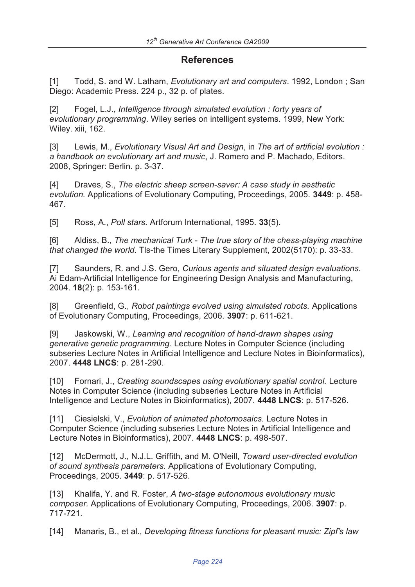# **References**

[1] Todd, S. and W. Latham, *Evolutionary art and computers*. 1992, London ; San Diego: Academic Press. 224 p., 32 p. of plates.

[2] Fogel, L.J., *Intelligence through simulated evolution : forty years of evolutionary programming*. Wiley series on intelligent systems. 1999, New York: Wiley. xiii, 162.

[3] Lewis, M., *Evolutionary Visual Art and Design*, in *The art of artificial evolution : a handbook on evolutionary art and music*, J. Romero and P. Machado, Editors. 2008, Springer: Berlin. p. 3-37.

[4] Draves, S., *The electric sheep screen-saver: A case study in aesthetic evolution.* Applications of Evolutionary Computing, Proceedings, 2005. **3449**: p. 458- 467.

[5] Ross, A., *Poll stars.* Artforum International, 1995. **33**(5).

[6] Aldiss, B., *The mechanical Turk - The true story of the chess-playing machine that changed the world.* Tls-the Times Literary Supplement, 2002(5170): p. 33-33.

[7] Saunders, R. and J.S. Gero, *Curious agents and situated design evaluations.* Ai Edam-Artificial Intelligence for Engineering Design Analysis and Manufacturing, 2004. **18**(2): p. 153-161.

[8] Greenfield, G., *Robot paintings evolved using simulated robots.* Applications of Evolutionary Computing, Proceedings, 2006. **3907**: p. 611-621.

[9] Jaskowski, W., *Learning and recognition of hand-drawn shapes using generative genetic programming.* Lecture Notes in Computer Science (including subseries Lecture Notes in Artificial Intelligence and Lecture Notes in Bioinformatics), 2007. **4448 LNCS**: p. 281-290.

[10] Fornari, J., *Creating soundscapes using evolutionary spatial control.* Lecture Notes in Computer Science (including subseries Lecture Notes in Artificial Intelligence and Lecture Notes in Bioinformatics), 2007. **4448 LNCS**: p. 517-526.

[11] Ciesielski, V., *Evolution of animated photomosaics.* Lecture Notes in Computer Science (including subseries Lecture Notes in Artificial Intelligence and Lecture Notes in Bioinformatics), 2007. **4448 LNCS**: p. 498-507.

[12] McDermott, J., N.J.L. Griffith, and M. O'Neill, *Toward user-directed evolution of sound synthesis parameters.* Applications of Evolutionary Computing, Proceedings, 2005. **3449**: p. 517-526.

[13] Khalifa, Y. and R. Foster, *A two-stage autonomous evolutionary music composer.* Applications of Evolutionary Computing, Proceedings, 2006. **3907**: p. 717-721.

[14] Manaris, B., et al., *Developing fitness functions for pleasant music: Zipf's law*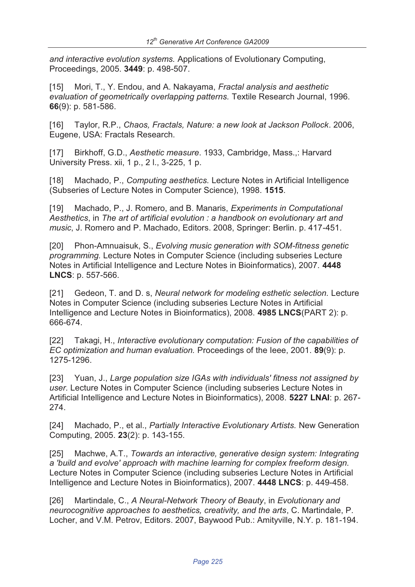*and interactive evolution systems.* Applications of Evolutionary Computing, Proceedings, 2005. **3449**: p. 498-507.

[15] Mori, T., Y. Endou, and A. Nakayama, *Fractal analysis and aesthetic evaluation of geometrically overlapping patterns.* Textile Research Journal, 1996. **66**(9): p. 581-586.

[16] Taylor, R.P., *Chaos, Fractals, Nature: a new look at Jackson Pollock*. 2006, Eugene, USA: Fractals Research.

[17] Birkhoff, G.D., *Aesthetic measure*. 1933, Cambridge, Mass.,: Harvard University Press. xii, 1 p., 2 l., 3-225, 1 p.

[18] Machado, P., *Computing aesthetics.* Lecture Notes in Artificial Intelligence (Subseries of Lecture Notes in Computer Science), 1998. **1515**.

[19] Machado, P., J. Romero, and B. Manaris, *Experiments in Computational Aesthetics*, in *The art of artificial evolution : a handbook on evolutionary art and music*, J. Romero and P. Machado, Editors. 2008, Springer: Berlin. p. 417-451.

[20] Phon-Amnuaisuk, S., *Evolving music generation with SOM-fitness genetic programming.* Lecture Notes in Computer Science (including subseries Lecture Notes in Artificial Intelligence and Lecture Notes in Bioinformatics), 2007. **4448 LNCS**: p. 557-566.

[21] Gedeon, T. and D. s, *Neural network for modeling esthetic selection.* Lecture Notes in Computer Science (including subseries Lecture Notes in Artificial Intelligence and Lecture Notes in Bioinformatics), 2008. **4985 LNCS**(PART 2): p. 666-674.

[22] Takagi, H., *Interactive evolutionary computation: Fusion of the capabilities of EC optimization and human evaluation.* Proceedings of the Ieee, 2001. **89**(9): p. 1275-1296.

[23] Yuan, J., *Large population size IGAs with individuals' fitness not assigned by user.* Lecture Notes in Computer Science (including subseries Lecture Notes in Artificial Intelligence and Lecture Notes in Bioinformatics), 2008. **5227 LNAI**: p. 267- 274.

[24] Machado, P., et al., *Partially Interactive Evolutionary Artists.* New Generation Computing, 2005. **23**(2): p. 143-155.

[25] Machwe, A.T., *Towards an interactive, generative design system: Integrating a 'build and evolve' approach with machine learning for complex freeform design.* Lecture Notes in Computer Science (including subseries Lecture Notes in Artificial Intelligence and Lecture Notes in Bioinformatics), 2007. **4448 LNCS**: p. 449-458.

[26] Martindale, C., *A Neural-Network Theory of Beauty*, in *Evolutionary and neurocognitive approaches to aesthetics, creativity, and the arts*, C. Martindale, P. Locher, and V.M. Petrov, Editors. 2007, Baywood Pub.: Amityville, N.Y. p. 181-194.